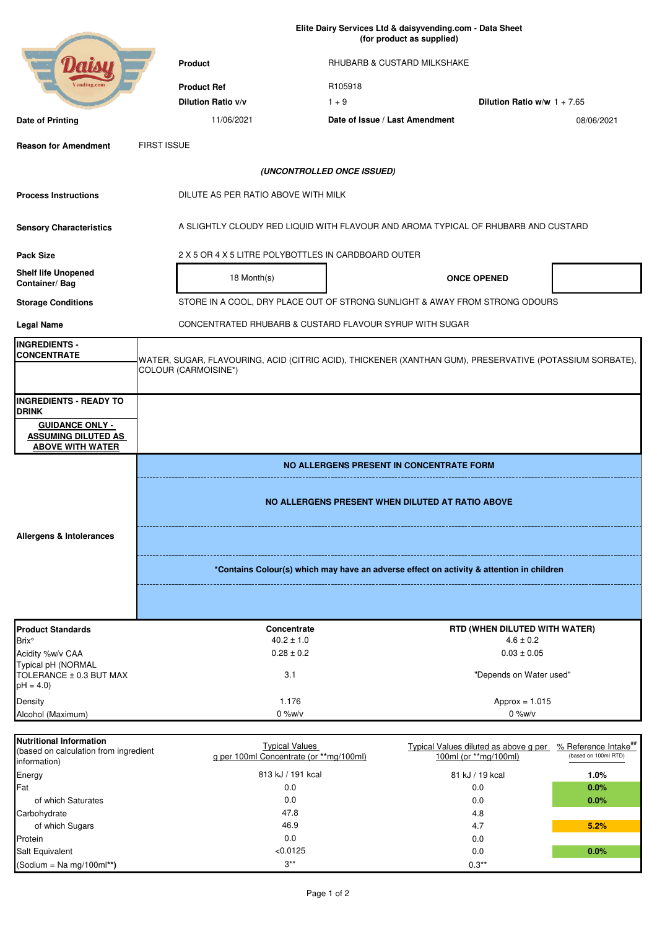|                                                                                         | Elite Dairy Services Ltd & daisyvending.com - Data Sheet<br>(for product as supplied)                                            |                                                                                    |                                                                |                                                          |  |
|-----------------------------------------------------------------------------------------|----------------------------------------------------------------------------------------------------------------------------------|------------------------------------------------------------------------------------|----------------------------------------------------------------|----------------------------------------------------------|--|
|                                                                                         | <b>Product</b>                                                                                                                   | RHUBARB & CUSTARD MILKSHAKE                                                        |                                                                |                                                          |  |
| ending.com                                                                              | <b>Product Ref</b>                                                                                                               | R105918                                                                            |                                                                |                                                          |  |
|                                                                                         | Dilution Ratio v/v                                                                                                               | $1 + 9$                                                                            | Dilution Ratio w/w $1 + 7.65$                                  |                                                          |  |
| Date of Printing                                                                        | 11/06/2021                                                                                                                       | Date of Issue / Last Amendment                                                     |                                                                | 08/06/2021                                               |  |
| <b>Reason for Amendment</b>                                                             | <b>FIRST ISSUE</b>                                                                                                               |                                                                                    |                                                                |                                                          |  |
|                                                                                         |                                                                                                                                  | (UNCONTROLLED ONCE ISSUED)                                                         |                                                                |                                                          |  |
| <b>Process Instructions</b>                                                             | DILUTE AS PER RATIO ABOVE WITH MILK                                                                                              |                                                                                    |                                                                |                                                          |  |
| <b>Sensory Characteristics</b>                                                          |                                                                                                                                  | A SLIGHTLY CLOUDY RED LIQUID WITH FLAVOUR AND AROMA TYPICAL OF RHUBARB AND CUSTARD |                                                                |                                                          |  |
| <b>Pack Size</b>                                                                        | 2 X 5 OR 4 X 5 LITRE POLYBOTTLES IN CARDBOARD OUTER                                                                              |                                                                                    |                                                                |                                                          |  |
| <b>Shelf life Unopened</b><br>Container/Bag                                             | 18 Month(s)                                                                                                                      |                                                                                    | <b>ONCE OPENED</b>                                             |                                                          |  |
| <b>Storage Conditions</b>                                                               |                                                                                                                                  | STORE IN A COOL, DRY PLACE OUT OF STRONG SUNLIGHT & AWAY FROM STRONG ODOURS        |                                                                |                                                          |  |
| <b>Legal Name</b>                                                                       |                                                                                                                                  | CONCENTRATED RHUBARB & CUSTARD FLAVOUR SYRUP WITH SUGAR                            |                                                                |                                                          |  |
| <b>INGREDIENTS -</b>                                                                    |                                                                                                                                  |                                                                                    |                                                                |                                                          |  |
| <b>CONCENTRATE</b>                                                                      | WATER, SUGAR, FLAVOURING, ACID (CITRIC ACID), THICKENER (XANTHAN GUM), PRESERVATIVE (POTASSIUM SORBATE),<br>COLOUR (CARMOISINE*) |                                                                                    |                                                                |                                                          |  |
| <b>INGREDIENTS - READY TO</b>                                                           |                                                                                                                                  |                                                                                    |                                                                |                                                          |  |
| <b>DRINK</b><br><b>GUIDANCE ONLY -</b><br><b>ASSUMING DILUTED AS</b>                    |                                                                                                                                  |                                                                                    |                                                                |                                                          |  |
| <b>ABOVE WITH WATER</b>                                                                 |                                                                                                                                  |                                                                                    |                                                                |                                                          |  |
|                                                                                         | NO ALLERGENS PRESENT IN CONCENTRATE FORM                                                                                         |                                                                                    |                                                                |                                                          |  |
|                                                                                         | NO ALLERGENS PRESENT WHEN DILUTED AT RATIO ABOVE                                                                                 |                                                                                    |                                                                |                                                          |  |
| Allergens & Intolerances                                                                |                                                                                                                                  |                                                                                    |                                                                |                                                          |  |
|                                                                                         | *Contains Colour(s) which may have an adverse effect on activity & attention in children                                         |                                                                                    |                                                                |                                                          |  |
|                                                                                         |                                                                                                                                  |                                                                                    |                                                                |                                                          |  |
| <b>Product Standards</b>                                                                | Concentrate                                                                                                                      |                                                                                    | RTD (WHEN DILUTED WITH WATER)                                  |                                                          |  |
| Brix°                                                                                   | $40.2 \pm 1.0$                                                                                                                   |                                                                                    | $4.6 \pm 0.2$                                                  |                                                          |  |
| Acidity %w/v CAA                                                                        | $0.28 \pm 0.2$                                                                                                                   |                                                                                    | $0.03 \pm 0.05$                                                |                                                          |  |
| Typical pH (NORMAL<br>TOLERANCE ± 0.3 BUT MAX<br>$pH = 4.0$                             | 3.1                                                                                                                              |                                                                                    | "Depends on Water used"                                        |                                                          |  |
| Density                                                                                 | 1.176                                                                                                                            |                                                                                    | Approx = $1.015$                                               |                                                          |  |
| Alcohol (Maximum)                                                                       | $0\%$ w/v                                                                                                                        |                                                                                    | $0\%$ w/v                                                      |                                                          |  |
|                                                                                         |                                                                                                                                  |                                                                                    |                                                                |                                                          |  |
| <b>Nutritional Information</b><br>(based on calculation from ingredient<br>information) | <b>Typical Values</b><br>g per 100ml Concentrate (or **mg/100ml)                                                                 |                                                                                    | Typical Values diluted as above g per<br>100ml (or **mg/100ml) | % Reference Intake <sup>##</sup><br>(based on 100ml RTD) |  |
| Energy                                                                                  | 813 kJ / 191 kcal                                                                                                                |                                                                                    | 81 kJ / 19 kcal                                                | 1.0%                                                     |  |
| Fat                                                                                     | 0.0                                                                                                                              |                                                                                    | 0.0                                                            | 0.0%                                                     |  |
| of which Saturates                                                                      | 0.0                                                                                                                              |                                                                                    | 0.0                                                            | 0.0%                                                     |  |
| Carbohydrate                                                                            | 47.8                                                                                                                             |                                                                                    | 4.8                                                            |                                                          |  |
| of which Sugars                                                                         | 46.9                                                                                                                             |                                                                                    | 4.7                                                            | 5.2%                                                     |  |
| Protein<br>Salt Equivalent                                                              | 0.0<br>< 0.0125                                                                                                                  |                                                                                    | 0.0<br>0.0                                                     | 0.0%                                                     |  |

(Sodium = Na mg/100ml**\*\*)** 0.3\*\*

 $3**$